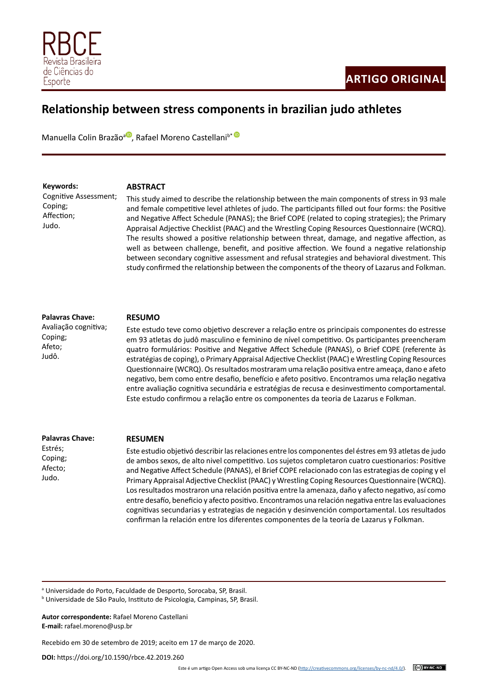

# **Relationship between stress components in brazilian judo athletes**

Manuella Colin Brazão<sup>a (D</sup>[,](https://orcid.org/0000-0002-7654-0228) Rafael Moreno Castellani<sup>b[\\*](https://orcid.org/0000-0001-7757-9856) (D</sup>

**Keywords:** Cognitive Assessment; Coping; Affection; Judo.

### **ABSTRACT**

This study aimed to describe the relationship between the main components of stress in 93 male and female competitive level athletes of judo. The participants filled out four forms: the Positive and Negative Affect Schedule (PANAS); the Brief COPE (related to coping strategies); the Primary Appraisal Adjective Checklist (PAAC) and the Wrestling Coping Resources Questionnaire (WCRQ). The results showed a positive relationship between threat, damage, and negative affection, as well as between challenge, benefit, and positive affection. We found a negative relationship between secondary cognitive assessment and refusal strategies and behavioral divestment. This study confirmed the relationship between the components of the theory of Lazarus and Folkman.

## **Palavras Chave:**

Avaliação cognitiva; Coping; Afeto; Judô.

#### **RESUMO**

Este estudo teve como objetivo descrever a relação entre os principais componentes do estresse em 93 atletas do judô masculino e feminino de nível competitivo. Os participantes preencheram quatro formulários: Positive and Negative Affect Schedule (PANAS), o Brief COPE (referente às estratégias de coping), o Primary Appraisal Adjective Checklist (PAAC) e Wrestling Coping Resources Questionnaire (WCRQ). Os resultados mostraram uma relação positiva entre ameaça, dano e afeto negativo, bem como entre desafio, benefício e afeto positivo. Encontramos uma relação negativa entre avaliação cognitiva secundária e estratégias de recusa e desinvestimento comportamental. Este estudo confirmou a relação entre os componentes da teoria de Lazarus e Folkman.

**Palavras Chave:** 

Estrés; Coping; Afecto; Judo.

#### **RESUMEN**

Este estudio objetivó describir las relaciones entre los componentes del éstres em 93 atletas de judo de ambos sexos, de alto nivel competitivo. Los sujetos completaron cuatro cuestionarios: Positive and Negative Affect Schedule (PANAS), el Brief COPE relacionado con las estrategias de coping y el Primary Appraisal Adjective Checklist (PAAC) y Wrestling Coping Resources Questionnaire (WCRQ). Los resultados mostraron una relación positiva entre la amenaza, daño y afecto negativo, así como entre desafío, beneficio y afecto positivo. Encontramos una relación negativa entre las evaluaciones cognitivas secundarias y estrategias de negación y desinvención comportamental. Los resultados confirman la relación entre los diferentes componentes de la teoría de Lazarus y Folkman.

<sup>a</sup> Universidade do Porto, Faculdade de Desporto, Sorocaba, SP, Brasil.

**Autor correspondente:** Rafael Moreno Castellani **E-mail:** rafael.moreno@usp.br

Recebido em 30 de setembro de 2019; aceito em 17 de março de 2020.

**DOI:** https://doi.org/10.1590/rbce.42.2019.260

b Universidade de São Paulo, Instituto de Psicologia, Campinas, SP, Brasil.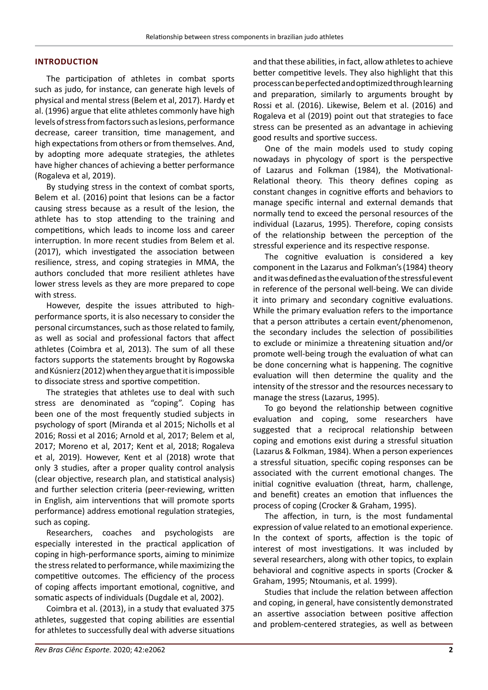## **INTRODUCTION**

The participation of athletes in combat sports such as judo, for instance, can generate high levels of physical and mental stress (Belem et al, 2017). Hardy et al. (1996) argue that elite athletes commonly have high levels of stress from factors such as lesions, performance decrease, career transition, time management, and high expectations from others or from themselves. And, by adopting more adequate strategies, the athletes have higher chances of achieving a better performance (Rogaleva et al, 2019).

By studying stress in the context of combat sports, Belem et al. (2016) point that lesions can be a factor causing stress because as a result of the lesion, the athlete has to stop attending to the training and competitions, which leads to income loss and career interruption. In more recent studies from Belem et al. (2017), which investigated the association between resilience, stress, and coping strategies in MMA, the authors concluded that more resilient athletes have lower stress levels as they are more prepared to cope with stress.

However, despite the issues attributed to highperformance sports, it is also necessary to consider the personal circumstances, such as those related to family, as well as social and professional factors that affect athletes (Coimbra et al, 2013). The sum of all these factors supports the statements brought by Rogowska and Kúsnierz (2012) when they argue that it is impossible to dissociate stress and sportive competition.

The strategies that athletes use to deal with such stress are denominated as "coping". Coping has been one of the most frequently studied subjects in psychology of sport (Miranda et al 2015; Nicholls et al 2016; Rossi et al 2016; Arnold et al, 2017; Belem et al, 2017; Moreno et al, 2017; Kent et al, 2018; Rogaleva et al, 2019). However, Kent et al (2018) wrote that only 3 studies, after a proper quality control analysis (clear objective, research plan, and statistical analysis) and further selection criteria (peer-reviewing, written in English, aim interventions that will promote sports performance) address emotional regulation strategies, such as coping.

Researchers, coaches and psychologists are especially interested in the practical application of coping in high-performance sports, aiming to minimize the stress related to performance, while maximizing the competitive outcomes. The efficiency of the process of coping affects important emotional, cognitive, and somatic aspects of individuals (Dugdale et al, 2002).

Coimbra et al. (2013), in a study that evaluated 375 athletes, suggested that coping abilities are essential for athletes to successfully deal with adverse situations

and that these abilities, in fact, allow athletes to achieve better competitive levels. They also highlight that this process can be perfected and optimized through learning and preparation, similarly to arguments brought by Rossi et al. (2016). Likewise, Belem et al. (2016) and Rogaleva et al (2019) point out that strategies to face stress can be presented as an advantage in achieving good results and sportive success.

One of the main models used to study coping nowadays in phycology of sport is the perspective of Lazarus and Folkman (1984), the Motivational-Relational theory. This theory defines coping as constant changes in cognitive efforts and behaviors to manage specific internal and external demands that normally tend to exceed the personal resources of the individual (Lazarus, 1995). Therefore, coping consists of the relationship between the perception of the stressful experience and its respective response.

The cognitive evaluation is considered a key component in the Lazarus and Folkman's(1984) theory and it was defined as the evaluation of the stressful event in reference of the personal well-being. We can divide it into primary and secondary cognitive evaluations. While the primary evaluation refers to the importance that a person attributes a certain event/phenomenon, the secondary includes the selection of possibilities to exclude or minimize a threatening situation and/or promote well-being trough the evaluation of what can be done concerning what is happening. The cognitive evaluation will then determine the quality and the intensity of the stressor and the resources necessary to manage the stress (Lazarus, 1995).

To go beyond the relationship between cognitive evaluation and coping, some researchers have suggested that a reciprocal relationship between coping and emotions exist during a stressful situation (Lazarus & Folkman, 1984). When a person experiences a stressful situation, specific coping responses can be associated with the current emotional changes. The initial cognitive evaluation (threat, harm, challenge, and benefit) creates an emotion that influences the process of coping (Crocker & Graham, 1995).

The affection, in turn, is the most fundamental expression of value related to an emotional experience. In the context of sports, affection is the topic of interest of most investigations. It was included by several researchers, along with other topics, to explain behavioral and cognitive aspects in sports (Crocker & Graham, 1995; Ntoumanis, et al. 1999).

Studies that include the relation between affection and coping, in general, have consistently demonstrated an assertive association between positive affection and problem-centered strategies, as well as between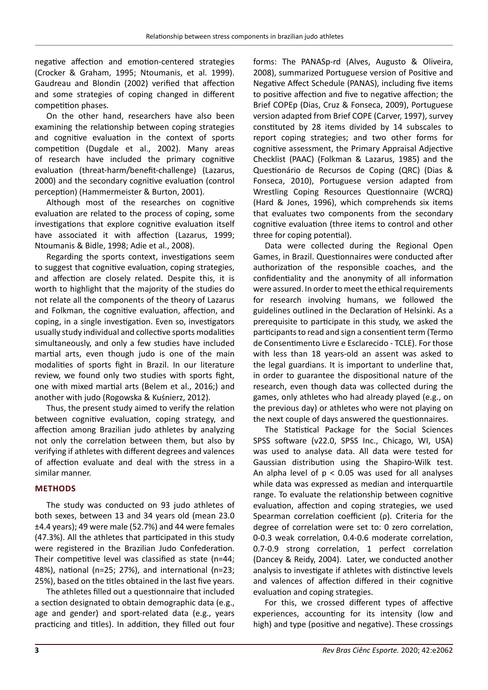negative affection and emotion-centered strategies (Crocker & Graham, 1995; Ntoumanis, et al. 1999). Gaudreau and Blondin (2002) verified that affection and some strategies of coping changed in different competition phases.

On the other hand, researchers have also been examining the relationship between coping strategies and cognitive evaluation in the context of sports competition (Dugdale et al., 2002). Many areas of research have included the primary cognitive evaluation (threat-harm/benefit-challenge) (Lazarus, 2000) and the secondary cognitive evaluation (control perception) (Hammermeister & Burton, 2001).

Although most of the researches on cognitive evaluation are related to the process of coping, some investigations that explore cognitive evaluation itself have associated it with affection (Lazarus, 1999; Ntoumanis & Bidle, 1998; Adie et al., 2008).

Regarding the sports context, investigations seem to suggest that cognitive evaluation, coping strategies, and affection are closely related. Despite this, it is worth to highlight that the majority of the studies do not relate all the components of the theory of Lazarus and Folkman, the cognitive evaluation, affection, and coping, in a single investigation. Even so, investigators usually study individual and collective sports modalities simultaneously, and only a few studies have included martial arts, even though judo is one of the main modalities of sports fight in Brazil. In our literature review, we found only two studies with sports fight, one with mixed martial arts (Belem et al., 2016;) and another with judo (Rogowska & Kuśnierz, 2012).

Thus, the present study aimed to verify the relation between cognitive evaluation, coping strategy, and affection among Brazilian judo athletes by analyzing not only the correlation between them, but also by verifying if athletes with different degrees and valences of affection evaluate and deal with the stress in a similar manner.

# **METHODS**

The study was conducted on 93 judo athletes of both sexes, between 13 and 34 years old (mean 23.0 ±4.4 years); 49 were male (52.7%) and 44 were females (47.3%). All the athletes that participated in this study were registered in the Brazilian Judo Confederation. Their competitive level was classified as state (n=44; 48%), national (n=25; 27%), and international (n=23; 25%), based on the titles obtained in the last five years.

The athletes filled out a questionnaire that included a section designated to obtain demographic data (e.g., age and gender) and sport-related data (e.g., years practicing and titles). In addition, they filled out four

forms: The PANASp-rd (Alves, Augusto & Oliveira, 2008), summarized Portuguese version of Positive and Negative Affect Schedule (PANAS), including five items to positive affection and five to negative affection; the Brief COPEp (Dias, Cruz & Fonseca, 2009), Portuguese version adapted from Brief COPE (Carver, 1997), survey constituted by 28 items divided by 14 subscales to report coping strategies; and two other forms for cognitive assessment, the Primary Appraisal Adjective Checklist (PAAC) (Folkman & Lazarus, 1985) and the Questionário de Recursos de Coping (QRC) (Dias & Fonseca, 2010), Portuguese version adapted from Wrestling Coping Resources Questionnaire (WCRQ) (Hard & Jones, 1996), which comprehends six items that evaluates two components from the secondary cognitive evaluation (three items to control and other three for coping potential).

Data were collected during the Regional Open Games, in Brazil. Questionnaires were conducted after authorization of the responsible coaches, and the confidentiality and the anonymity of all information were assured. In order to meet the ethical requirements for research involving humans, we followed the guidelines outlined in the Declaration of Helsinki. As a prerequisite to participate in this study, we asked the participants to read and sign a consentient term (Termo de Consentimento Livre e Esclarecido - TCLE). For those with less than 18 years-old an assent was asked to the legal guardians. It is important to underline that, in order to guarantee the dispositional nature of the research, even though data was collected during the games, only athletes who had already played (e.g., on the previous day) or athletes who were not playing on the next couple of days answered the questionnaires.

The Statistical Package for the Social Sciences SPSS software (v22.0, SPSS Inc., Chicago, WI, USA) was used to analyse data. All data were tested for Gaussian distribution using the Shapiro-Wilk test. An alpha level of  $p < 0.05$  was used for all analyses while data was expressed as median and interquartile range. To evaluate the relationship between cognitive evaluation, affection and coping strategies, we used Spearman correlation coefficient (ρ). Criteria for the degree of correlation were set to: 0 zero correlation, 0-0.3 weak correlation, 0.4-0.6 moderate correlation, 0.7-0.9 strong correlation, 1 perfect correlation (Dancey & Reidy, 2004). Later, we conducted another analysis to investigate if athletes with distinctive levels and valences of affection differed in their cognitive evaluation and coping strategies.

For this, we crossed different types of affective experiences, accounting for its intensity (low and high) and type (positive and negative). These crossings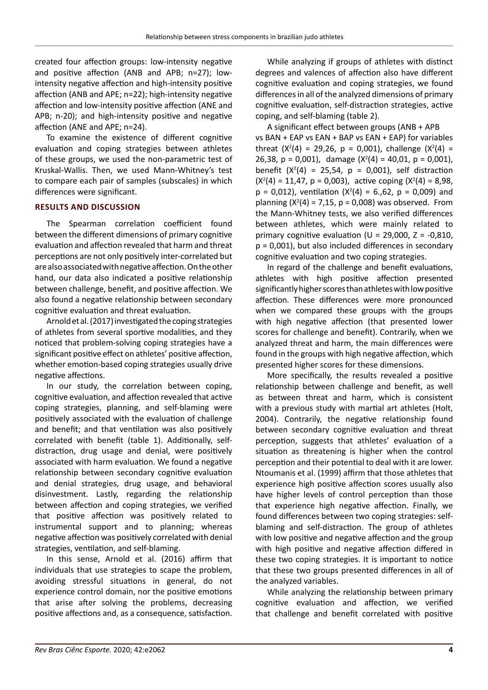created four affection groups: low-intensity negative and positive affection (ANB and APB; n=27); lowintensity negative affection and high-intensity positive affection (ANB and APE; n=22); high-intensity negative affection and low-intensity positive affection (ANE and APB; n-20); and high-intensity positive and negative affection (ANE and APE; n=24).

To examine the existence of different cognitive evaluation and coping strategies between athletes of these groups, we used the non-parametric test of Kruskal-Wallis. Then, we used Mann-Whitney's test to compare each pair of samples (subscales) in which differences were significant.

# **RESULTS AND DISCUSSION**

The Spearman correlation coefficient found between the different dimensions of primary cognitive evaluation and affection revealed that harm and threat perceptions are not only positively inter-correlated but are also associated with negative affection. On the other hand, our data also indicated a positive relationship between challenge, benefit, and positive affection. We also found a negative relationship between secondary cognitive evaluation and threat evaluation.

Arnold et al. (2017) investigated the coping strategies of athletes from several sportive modalities, and they noticed that problem-solving coping strategies have a significant positive effect on athletes' positive affection, whether emotion-based coping strategies usually drive negative affections.

In our study, the correlation between coping, cognitive evaluation, and affection revealed that active coping strategies, planning, and self-blaming were positively associated with the evaluation of challenge and benefit; and that ventilation was also positively correlated with benefit (table 1). Additionally, selfdistraction, drug usage and denial, were positively associated with harm evaluation. We found a negative relationship between secondary cognitive evaluation and denial strategies, drug usage, and behavioral disinvestment. Lastly, regarding the relationship between affection and coping strategies, we verified that positive affection was positively related to instrumental support and to planning; whereas negative affection was positively correlated with denial strategies, ventilation, and self-blaming.

In this sense, Arnold et al. (2016) affirm that individuals that use strategies to scape the problem, avoiding stressful situations in general, do not experience control domain, nor the positive emotions that arise after solving the problems, decreasing positive affections and, as a consequence, satisfaction.

While analyzing if groups of athletes with distinct degrees and valences of affection also have different cognitive evaluation and coping strategies, we found differences in all of the analyzed dimensions of primary cognitive evaluation, self-distraction strategies, active coping, and self-blaming (table 2).

A significant effect between groups (ANB + APB vs BAN + EAP vs EAN + BAP vs EAN + EAP) for variables threat  $(X<sup>2</sup>(4) = 29,26, p = 0,001)$ , challenge  $(X<sup>2</sup>(4) =$ 26,38,  $p = 0,001$ , damage  $(X<sup>2</sup>(4) = 40,01, p = 0,001)$ , benefit  $(X<sup>2</sup>(4) = 25,54, p = 0,001)$ , self distraction  $(X<sup>2</sup>(4) = 11,47, p = 0,003)$ , active coping  $(X<sup>2</sup>(4) = 8,98,$  $p = 0.012$ ), ventilation ( $X^2(4) = 6.62$ ,  $p = 0.009$ ) and planning  $(X<sup>2</sup>(4) = 7,15, p = 0,008)$  was observed. From the Mann-Whitney tests, we also verified differences between athletes, which were mainly related to primary cognitive evaluation ( $U = 29,000$ ,  $Z = -0,810$ , p = 0,001), but also included differences in secondary cognitive evaluation and two coping strategies.

In regard of the challenge and benefit evaluations, athletes with high positive affection presented significantly higher scores than athletes with low positive affection. These differences were more pronounced when we compared these groups with the groups with high negative affection (that presented lower scores for challenge and benefit). Contrarily, when we analyzed threat and harm, the main differences were found in the groups with high negative affection, which presented higher scores for these dimensions.

More specifically, the results revealed a positive relationship between challenge and benefit, as well as between threat and harm, which is consistent with a previous study with martial art athletes (Holt, 2004). Contrarily, the negative relationship found between secondary cognitive evaluation and threat perception, suggests that athletes' evaluation of a situation as threatening is higher when the control perception and their potential to deal with it are lower. Ntoumanis et al. (1999) affirm that those athletes that experience high positive affection scores usually also have higher levels of control perception than those that experience high negative affection. Finally, we found differences between two coping strategies: selfblaming and self-distraction. The group of athletes with low positive and negative affection and the group with high positive and negative affection differed in these two coping strategies. It is important to notice that these two groups presented differences in all of the analyzed variables.

While analyzing the relationship between primary cognitive evaluation and affection, we verified that challenge and benefit correlated with positive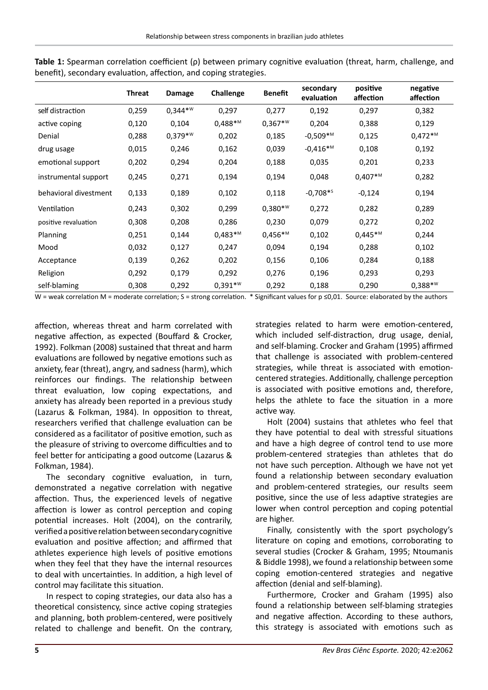|                       | <b>Threat</b> | Damage    | Challenge | <b>Benefit</b> | secondary<br>evaluation | positive<br>affection | negative<br>affection |
|-----------------------|---------------|-----------|-----------|----------------|-------------------------|-----------------------|-----------------------|
| self distraction      | 0,259         | $0,344**$ | 0,297     | 0,277          | 0,192                   | 0,297                 | 0,382                 |
| active coping         | 0,120         | 0,104     | $0,488**$ | $0,367**$      | 0,204                   | 0,388                 | 0,129                 |
| Denial                | 0,288         | $0,379**$ | 0,202     | 0,185          | $-0,509$ * <sup>M</sup> | 0,125                 | $0,472**$ M           |
| drug usage            | 0,015         | 0,246     | 0,162     | 0,039          | $-0,416**$              | 0,108                 | 0,192                 |
| emotional support     | 0,202         | 0,294     | 0,204     | 0,188          | 0,035                   | 0,201                 | 0,233                 |
| instrumental support  | 0,245         | 0,271     | 0,194     | 0,194          | 0,048                   | $0,407**$             | 0,282                 |
| behavioral divestment | 0,133         | 0,189     | 0,102     | 0,118          | $-0,708**$              | $-0,124$              | 0,194                 |
| Ventilation           | 0,243         | 0,302     | 0,299     | $0,380**$      | 0,272                   | 0,282                 | 0,289                 |
| positive revaluation  | 0,308         | 0,208     | 0,286     | 0,230          | 0,079                   | 0,272                 | 0,202                 |
| Planning              | 0,251         | 0,144     | $0,483**$ | $0,456**$ M    | 0,102                   | $0,445**$ M           | 0,244                 |
| Mood                  | 0,032         | 0,127     | 0,247     | 0,094          | 0,194                   | 0,288                 | 0,102                 |
| Acceptance            | 0,139         | 0,262     | 0,202     | 0,156          | 0,106                   | 0,284                 | 0,188                 |
| Religion              | 0,292         | 0,179     | 0,292     | 0,276          | 0,196                   | 0,293                 | 0,293                 |
| self-blaming          | 0,308         | 0,292     | $0,391**$ | 0,292          | 0,188                   | 0,290                 | $0,388**$             |

**Table 1:** Spearman correlation coefficient (ρ) between primary cognitive evaluation (threat, harm, challenge, and benefit), secondary evaluation, affection, and coping strategies.

W = weak correlation M = moderate correlation; S = strong correlation. \* Significant values for  $p \le 0.01$ . Source: elaborated by the authors

affection, whereas threat and harm correlated with negative affection, as expected (Bouffard & Crocker, 1992). Folkman (2008) sustained that threat and harm evaluations are followed by negative emotions such as anxiety, fear (threat), angry, and sadness (harm), which reinforces our findings. The relationship between threat evaluation, low coping expectations, and anxiety has already been reported in a previous study (Lazarus & Folkman, 1984). In opposition to threat, researchers verified that challenge evaluation can be considered as a facilitator of positive emotion, such as the pleasure of striving to overcome difficulties and to feel better for anticipating a good outcome (Lazarus & Folkman, 1984).

The secondary cognitive evaluation, in turn, demonstrated a negative correlation with negative affection. Thus, the experienced levels of negative affection is lower as control perception and coping potential increases. Holt (2004), on the contrarily, verified a positive relation between secondary cognitive evaluation and positive affection; and affirmed that athletes experience high levels of positive emotions when they feel that they have the internal resources to deal with uncertainties. In addition, a high level of control may facilitate this situation.

In respect to coping strategies, our data also has a theoretical consistency, since active coping strategies and planning, both problem-centered, were positively related to challenge and benefit. On the contrary, strategies related to harm were emotion-centered, which included self-distraction, drug usage, denial, and self-blaming. Crocker and Graham (1995) affirmed that challenge is associated with problem-centered strategies, while threat is associated with emotioncentered strategies. Additionally, challenge perception is associated with positive emotions and, therefore, helps the athlete to face the situation in a more active way.

Holt (2004) sustains that athletes who feel that they have potential to deal with stressful situations and have a high degree of control tend to use more problem-centered strategies than athletes that do not have such perception. Although we have not yet found a relationship between secondary evaluation and problem-centered strategies, our results seem positive, since the use of less adaptive strategies are lower when control perception and coping potential are higher.

Finally, consistently with the sport psychology's literature on coping and emotions, corroborating to several studies (Crocker & Graham, 1995; Ntoumanis & Biddle 1998), we found a relationship between some coping emotion-centered strategies and negative affection (denial and self-blaming).

Furthermore, Crocker and Graham (1995) also found a relationship between self-blaming strategies and negative affection. According to these authors, this strategy is associated with emotions such as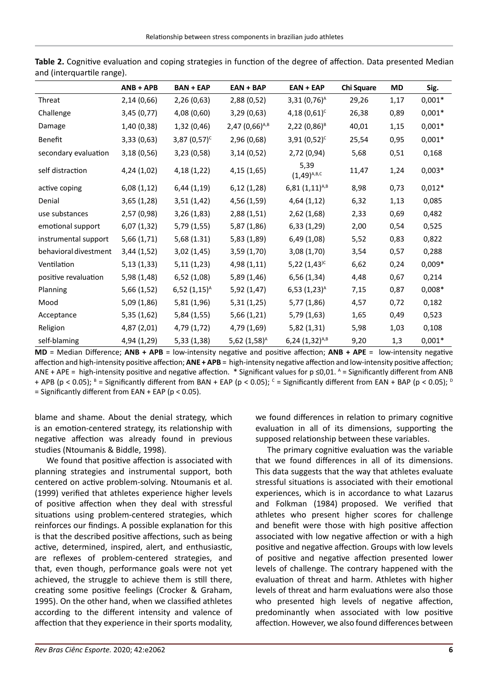|                       | $ANB + APB$ | <b>BAN + EAP</b> | $EAN + BAP$                  | $EAN + EAP$                | Chi Square | <b>MD</b> | Sig.     |
|-----------------------|-------------|------------------|------------------------------|----------------------------|------------|-----------|----------|
| Threat                | 2,14(0,66)  | 2,26 (0,63)      | 2,88 (0,52)                  | $3,31(0,76)^A$             | 29,26      | 1,17      | $0,001*$ |
| Challenge             | 3,45 (0,77) | 4,08 (0,60)      | 3,29(0,63)                   | 4,18 $(0,61)^c$            | 26,38      | 0,89      | $0,001*$ |
| Damage                | 1,40 (0,38) | 1,32(0,46)       | $2,47$ (0,66) <sup>A,B</sup> | $2,22(0,86)^8$             | 40,01      | 1,15      | $0,001*$ |
| Benefit               | 3,33(0,63)  | $3,87(0,57)^c$   | 2,96 (0,68)                  | $3,91(0,52)^c$             | 25,54      | 0,95      | $0,001*$ |
| secondary evaluation  | 3,18(0,56)  | 3,23(0,58)       | 3,14(0,52)                   | 2,72 (0,94)                | 5,68       | 0,51      | 0,168    |
| self distraction      | 4,24 (1,02) | 4,18 (1,22)      | 4,15 (1,65)                  | 5,39<br>$(1,49)^{A,B,C}$   | 11,47      | 1,24      | $0,003*$ |
| active coping         | 6,08(1,12)  | 6,44(1,19)       | 6,12(1,28)                   | $6,81(1,11)^{A,B}$         | 8,98       | 0,73      | $0,012*$ |
| Denial                | 3,65(1,28)  | 3,51(1,42)       | 4,56 (1,59)                  | 4,64(1,12)                 | 6,32       | 1,13      | 0,085    |
| use substances        | 2,57 (0,98) | 3,26(1,83)       | 2,88(1,51)                   | 2,62(1,68)                 | 2,33       | 0,69      | 0,482    |
| emotional support     | 6,07 (1,32) | 5,79(1,55)       | 5,87 (1,86)                  | 6,33(1,29)                 | 2,00       | 0,54      | 0,525    |
| instrumental support  | 5,66(1,71)  | 5,68(1.31)       | 5,83 (1,89)                  | 6,49 (1,08)                | 5,52       | 0,83      | 0,822    |
| behavioral divestment | 3,44(1,52)  | 3,02(1,45)       | 3,59 (1,70)                  | 3,08 (1,70)                | 3,54       | 0,57      | 0,288    |
| Ventilation           | 5,13(1,33)  | 5,11(1,23)       | 4,98 (1,11)                  | 5,22 $(1,43)$ <sup>c</sup> | 6,62       | 0,24      | $0,009*$ |
| positive revaluation  | 5,98 (1,48) | 6,52(1,08)       | 5,89 (1,46)                  | 6,56(1,34)                 | 4,48       | 0,67      | 0,214    |
| Planning              | 5,66 (1,52) | $6,52(1,15)^{A}$ | 5,92(1,47)                   | $6,53(1,23)^{A}$           | 7,15       | 0,87      | $0,008*$ |
| Mood                  | 5,09 (1,86) | 5,81 (1,96)      | 5,31(1,25)                   | 5,77 (1,86)                | 4,57       | 0,72      | 0,182    |
| Acceptance            | 5,35(1,62)  | 5,84 (1,55)      | 5,66(1,21)                   | 5,79(1,63)                 | 1,65       | 0,49      | 0,523    |
| Religion              | 4,87 (2,01) | 4,79 (1,72)      | 4,79 (1,69)                  | 5,82(1,31)                 | 5,98       | 1,03      | 0,108    |
| self-blaming          | 4,94 (1,29) | 5,33(1,38)       | $5,62$ $(1,58)^{A}$          | $6,24(1,32)^{A,B}$         | 9,20       | 1,3       | $0,001*$ |

|                            |  | Table 2. Cognitive evaluation and coping strategies in function of the degree of affection. Data presented Median |  |  |  |  |
|----------------------------|--|-------------------------------------------------------------------------------------------------------------------|--|--|--|--|
| and (interquartile range). |  |                                                                                                                   |  |  |  |  |

**MD** = Median Difference; **ANB + APB** = low-intensity negative and positive affection; **ANB + APE** = low-intensity negative affection and high-intensity positive affection; **ANE + APB** = high-intensity negative affection and low-intensity positive affection; ANE + APE = high-intensity positive and negative affection. \* Significant values for  $p \le 0.01$ . A = Significantly different from ANB + APB (p < 0.05);  $^{\text{\tiny{B}}}$  = Significantly different from BAN + EAP (p < 0.05);  $^{\text{\tiny{C}}}$  = Significantly different from EAN + BAP (p < 0.05);  $^{\text{\tiny{D}}}$  $=$  Significantly different from EAN + EAP (p < 0.05).

blame and shame. About the denial strategy, which is an emotion-centered strategy, its relationship with negative affection was already found in previous studies (Ntoumanis & Biddle, 1998).

We found that positive affection is associated with planning strategies and instrumental support, both centered on active problem-solving. Ntoumanis et al. (1999) verified that athletes experience higher levels of positive affection when they deal with stressful situations using problem-centered strategies, which reinforces our findings. A possible explanation for this is that the described positive affections, such as being active, determined, inspired, alert, and enthusiastic, are reflexes of problem-centered strategies, and that, even though, performance goals were not yet achieved, the struggle to achieve them is still there, creating some positive feelings (Crocker & Graham, 1995). On the other hand, when we classified athletes according to the different intensity and valence of affection that they experience in their sports modality, we found differences in relation to primary cognitive evaluation in all of its dimensions, supporting the supposed relationship between these variables.

The primary cognitive evaluation was the variable that we found differences in all of its dimensions. This data suggests that the way that athletes evaluate stressful situations is associated with their emotional experiences, which is in accordance to what Lazarus and Folkman (1984) proposed. We verified that athletes who present higher scores for challenge and benefit were those with high positive affection associated with low negative affection or with a high positive and negative affection. Groups with low levels of positive and negative affection presented lower levels of challenge. The contrary happened with the evaluation of threat and harm. Athletes with higher levels of threat and harm evaluations were also those who presented high levels of negative affection, predominantly when associated with low positive affection. However, we also found differences between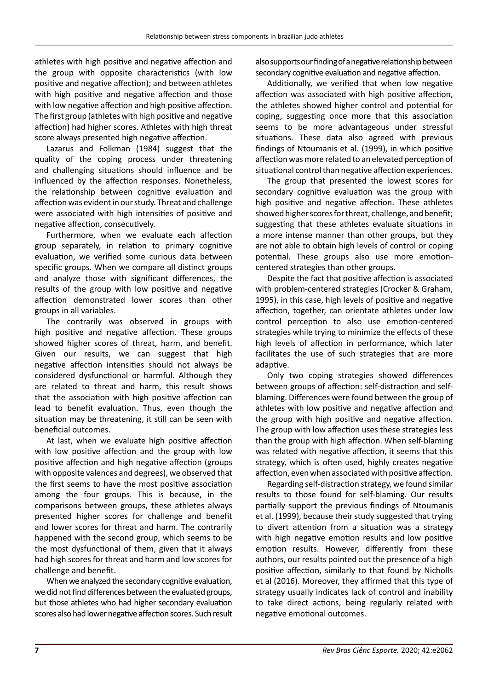athletes with high positive and negative affection and the group with opposite characteristics (with low positive and negative affection); and between athletes with high positive and negative affection and those with low negative affection and high positive affection. The first group (athletes with high positive and negative affection) had higher scores. Athletes with high threat score always presented high negative affection.

Lazarus and Folkman (1984) suggest that the quality of the coping process under threatening and challenging situations should influence and be influenced by the affection responses. Nonetheless, the relationship between cognitive evaluation and affection was evident in our study. Threat and challenge were associated with high intensities of positive and negative affection, consecutively.

Furthermore, when we evaluate each affection group separately, in relation to primary cognitive evaluation, we verified some curious data between specific groups. When we compare all distinct groups and analyze those with significant differences, the results of the group with low positive and negative affection demonstrated lower scores than other groups in all variables.

The contrarily was observed in groups with high positive and negative affection. These groups showed higher scores of threat, harm, and benefit. Given our results, we can suggest that high negative affection intensities should not always be considered dysfunctional or harmful. Although they are related to threat and harm, this result shows that the association with high positive affection can lead to benefit evaluation. Thus, even though the situation may be threatening, it still can be seen with beneficial outcomes.

At last, when we evaluate high positive affection with low positive affection and the group with low positive affection and high negative affection (groups with opposite valences and degrees), we observed that the first seems to have the most positive association among the four groups. This is because, in the comparisons between groups, these athletes always presented higher scores for challenge and benefit and lower scores for threat and harm. The contrarily happened with the second group, which seems to be the most dysfunctional of them, given that it always had high scores for threat and harm and low scores for challenge and benefit.

When we analyzed the secondary cognitive evaluation, we did not find differences between the evaluated groups, but those athletes who had higher secondary evaluation scores also had lower negative affection scores. Such result also supports our finding of a negative relationship between secondary cognitive evaluation and negative affection.

Additionally, we verified that when low negative affection was associated with high positive affection, the athletes showed higher control and potential for coping, suggesting once more that this association seems to be more advantageous under stressful situations. These data also agreed with previous findings of Ntoumanis et al. (1999), in which positive affection was more related to an elevated perception of situational control than negative affection experiences.

The group that presented the lowest scores for secondary cognitive evaluation was the group with high positive and negative affection. These athletes showed higher scores for threat, challenge, and benefit; suggesting that these athletes evaluate situations in a more intense manner than other groups, but they are not able to obtain high levels of control or coping potential. These groups also use more emotioncentered strategies than other groups.

Despite the fact that positive affection is associated with problem-centered strategies (Crocker & Graham, 1995), in this case, high levels of positive and negative affection, together, can orientate athletes under low control perception to also use emotion-centered strategies while trying to minimize the effects of these high levels of affection in performance, which later facilitates the use of such strategies that are more adaptive.

Only two coping strategies showed differences between groups of affection: self-distraction and selfblaming. Differences were found between the group of athletes with low positive and negative affection and the group with high positive and negative affection. The group with low affection uses these strategies less than the group with high affection. When self-blaming was related with negative affection, it seems that this strategy, which is often used, highly creates negative affection, even when associated with positive affection.

Regarding self-distraction strategy, we found similar results to those found for self-blaming. Our results partially support the previous findings of Ntoumanis et al. (1999), because their study suggested that trying to divert attention from a situation was a strategy with high negative emotion results and low positive emotion results. However, differently from these authors, our results pointed out the presence of a high positive affection, similarly to that found by Nicholls et al (2016). Moreover, they affirmed that this type of strategy usually indicates lack of control and inability to take direct actions, being regularly related with negative emotional outcomes.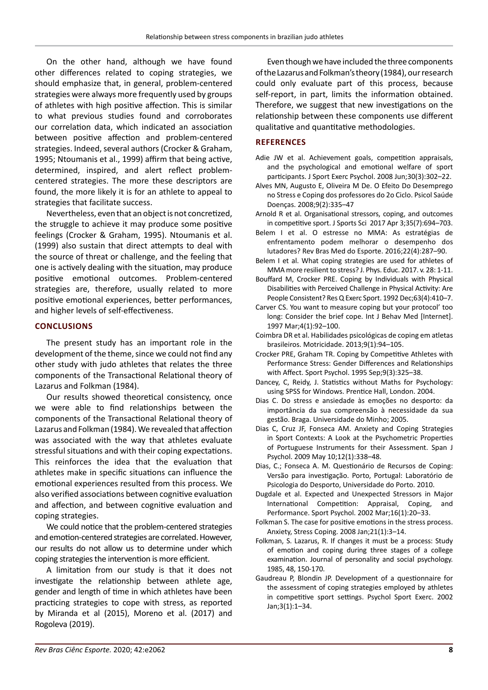On the other hand, although we have found other differences related to coping strategies, we should emphasize that, in general, problem-centered strategies were always more frequently used by groups of athletes with high positive affection. This is similar to what previous studies found and corroborates our correlation data, which indicated an association between positive affection and problem-centered strategies. Indeed, several authors (Crocker & Graham, 1995; Ntoumanis et al., 1999) affirm that being active, determined, inspired, and alert reflect problemcentered strategies. The more these descriptors are found, the more likely it is for an athlete to appeal to strategies that facilitate success.

Nevertheless, even that an object is not concretized, the struggle to achieve it may produce some positive feelings (Crocker & Graham, 1995). Ntoumanis et al. (1999) also sustain that direct attempts to deal with the source of threat or challenge, and the feeling that one is actively dealing with the situation, may produce positive emotional outcomes. Problem-centered strategies are, therefore, usually related to more positive emotional experiences, better performances, and higher levels of self-effectiveness.

# **CONCLUSIONS**

The present study has an important role in the development of the theme, since we could not find any other study with judo athletes that relates the three components of the Transactional Relational theory of Lazarus and Folkman (1984).

Our results showed theoretical consistency, once we were able to find relationships between the components of the Transactional Relational theory of Lazarus and Folkman (1984). We revealed that affection was associated with the way that athletes evaluate stressful situations and with their coping expectations. This reinforces the idea that the evaluation that athletes make in specific situations can influence the emotional experiences resulted from this process. We also verified associations between cognitive evaluation and affection, and between cognitive evaluation and coping strategies.

We could notice that the problem-centered strategies and emotion-centered strategies are correlated. However, our results do not allow us to determine under which coping strategies the intervention is more efficient.

A limitation from our study is that it does not investigate the relationship between athlete age, gender and length of time in which athletes have been practicing strategies to cope with stress, as reported by Miranda et al (2015), Moreno et al. (2017) and Rogoleva (2019).

Even though we have included the three components of the Lazarus and Folkman's theory (1984), our research could only evaluate part of this process, because self-report, in part, limits the information obtained. Therefore, we suggest that new investigations on the relationship between these components use different qualitative and quantitative methodologies.

# **REFERENCES**

- Adie JW et al. Achievement goals, competition appraisals, and the psychological and emotional welfare of sport participants. J Sport Exerc Psychol. 2008 Jun;30(3):302–22.
- Alves MN, Augusto E, Oliveira M De. O Efeito Do Desemprego no Stress e Coping dos professores do 2o Ciclo. Psicol Saúde Doenças. 2008;9(2):335–47
- Arnold R et al. Organisational stressors, coping, and outcomes in competitive sport. J Sports Sci 2017 Apr 3;35(7):694–703.
- Belem I et al. O estresse no MMA: As estratégias de enfrentamento podem melhorar o desempenho dos lutadores? Rev Bras Med do Esporte. 2016;22(4):287–90.
- Belem I et al. What coping strategies are used for athletes of MMA more resilient to stress? J. Phys. Educ. 2017. v. 28: 1-11.
- Bouffard M, Crocker PRE. Coping by Individuals with Physical Disabilities with Perceived Challenge in Physical Activity: Are People Consistent? Res Q Exerc Sport. 1992 Dec;63(4):410–7.
- Carver CS. You want to measure coping but your protocol' too long: Consider the brief cope. Int J Behav Med [Internet]. 1997 Mar;4(1):92–100.
- Coimbra DR et al. Habilidades psicológicas de coping em atletas brasileiros. Motricidade. 2013;9(1):94–105.
- Crocker PRE, Graham TR. Coping by Competitive Athletes with Performance Stress: Gender Differences and Relationships with Affect. Sport Psychol. 1995 Sep;9(3):325–38.
- Dancey, C, Reidy, J. Statistics without Maths for Psychology: using SPSS for Windows. Prentice Hall, London. 2004.
- Dias C. Do stress e ansiedade às emoções no desporto: da importância da sua compreensão à necessidade da sua gestão. Braga. Universidade do Minho; 2005.
- Dias C, Cruz JF, Fonseca AM. Anxiety and Coping Strategies in Sport Contexts: A Look at the Psychometric Properties of Portuguese Instruments for their Assessment. Span J Psychol. 2009 May 10;12(1):338–48.
- Dias, C.; Fonseca A. M. Questionário de Recursos de Coping: Versão para investigação. Porto, Portugal: Laboratório de Psicologia do Desporto, Universidade do Porto. 2010.
- Dugdale et al. Expected and Unexpected Stressors in Major International Competition: Appraisal, Coping, and Performance. Sport Psychol. 2002 Mar;16(1):20–33.
- Folkman S. The case for positive emotions in the stress process. Anxiety, Stress Coping. 2008 Jan;21(1):3–14.
- Folkman, S. Lazarus, R. If changes it must be a process: Study of emotion and coping during three stages of a college examination. Journal of personality and social psychology. 1985, 48, 150-170.
- Gaudreau P, Blondin JP. Development of a questionnaire for the assessment of coping strategies employed by athletes in competitive sport settings. Psychol Sport Exerc. 2002 Jan;3(1):1–34.